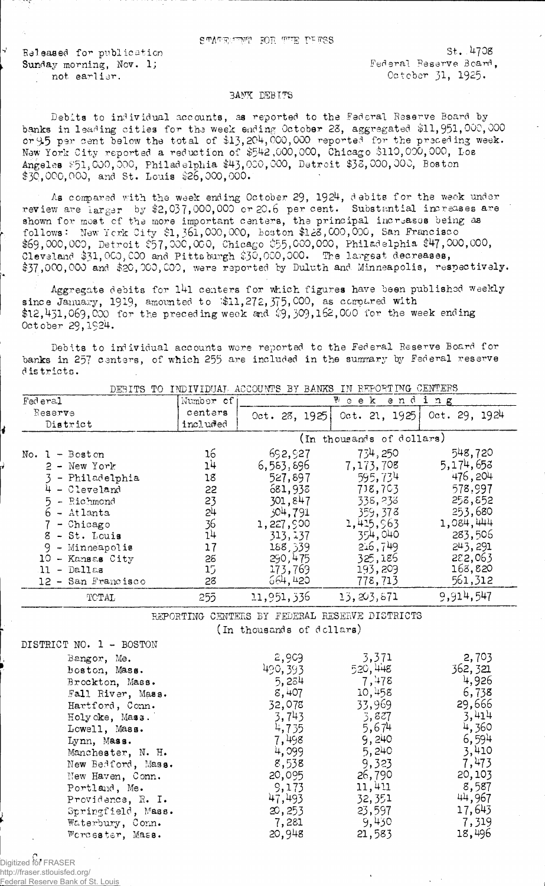Suvaluation ROR Him Likes

Released for publication St. 4708<br>Sunday morning, Nov. 1; Sunday Sunday St..4708 Sunday morning, Nov. 1;

not earlier.  $0$ ctober 31, 1925.

## **BANK DEBITS**

Debits to individual accounts, as reported to the Federal Reserve Board by banks in leading cities for the week ending October 23, aggregated \$11,951,000,000 or 9.5 psr cent below the total of  $\pm 15,204,000,000$  reported for the preceding week. New York City reported a reduction of \$542,000,000, Chicago \$110,000,000, Los Angeles £51,000,000, Philad elphia \$43,000,000, Detroit \$38,000,000, Boston  $$30,000,000,$  and St. Louis  $$26,000,000.$ 

As compared with the week ending October 29, 1924, debits for the week under review are larger by \$2,037,000,000 or 20.6 per cent. Substantial increases are shown for most cf the more important centers, the principal increases being as follows: New York City  $$1, 361,000,000$ , Boston  $$123,000,000$ , San Francisco \$69,000,000, Detroit \$57,000,000, Chicago \$55,000,000, Philadelphia \$47,000,000, Cleveland \$31,000,000 and Pitts burgh \$30,000,000. The largest decreases, \$37,000,000 and \$20,000,000, were reported by Duluth and Minneapolis, respectively.

Aggregate debits for 141 centers for which figures have been published weekly since January, 1919, amounted to  $$11,272,375,000$ , as compared with \$12,431,069,000 for the preceding week and  $$9,309,162,000$  for the week ending October 29, 1924.

Debits to individual accounts were reported to the Federal Reserve Board for banks in 257 centers, of which 255 are included in the summary by Federal reserve d is tricts.

| DESITS TO<br>INDIVIDUAL ACCOUNTS BY BANAS IN<br>KAROKIING OEMIENO |                           |              |                   |               |  |  |
|-------------------------------------------------------------------|---------------------------|--------------|-------------------|---------------|--|--|
| Federal                                                           | Number of                 |              | $W$ e k<br>ending |               |  |  |
| Reserve                                                           | centers                   | 0ct.28, 1925 | 0ct. 21, 1925     | 0ct. 29, 1924 |  |  |
| District                                                          | included                  |              |                   |               |  |  |
|                                                                   | (In thousands of dollars) |              |                   |               |  |  |
| $-$ Boston<br>No.<br>$\mathbf{1}$                                 | 16                        | 692,927      | 734, 250          | 548,720       |  |  |
| - New York                                                        | 14                        | 6,563,696    | 7,173,708         | 5,174,653     |  |  |
| - Philadelphia                                                    | 18                        | 527,897      | 595,734           | 476,204       |  |  |
| - Cleveland                                                       | 22                        | 681,938      | 718,703           | 578,997       |  |  |
| - Richmond                                                        | 23                        | 301,847      | 338,233           | 258,852       |  |  |
| - Atlanta<br>h                                                    | 24                        | 304,791      | 359,378           | 253,680       |  |  |
| - Chicago                                                         | 36                        | 1,227,900    | 1,415,963         | 1,084,444     |  |  |
| - St. Louis<br>8                                                  | 14                        | 313,137      | 354,040           | 283,506       |  |  |
| - Minneapolis                                                     | 17                        | 188,539      | 216,749           | 243, 291      |  |  |
| - Kansas City<br>10                                               | 28                        | 290,475      | 325,186           | 282,063       |  |  |
| Dallas<br>11<br>$\overline{\phantom{a}}$                          | 15                        | 173,769      | 193,209           | 168,820       |  |  |
| - San Francisco<br>12.                                            | 28                        | 664,420      | 778,713           | 561,312       |  |  |
| TOTAL                                                             | 255                       | 11,951,336   | 13, 203, 871      | 9,914,547     |  |  |

DEBITS TO INDIVIDUAL ACCOUNTS BY BANKS IN REPORTING CENTERS

REPORTING CENTERS BY FEDERAL RESERVE DISTRICTS

(In thousands of dollars)

| DISTRICT NO. 1 - BOSTON |          |         |          |
|-------------------------|----------|---------|----------|
| Bangor, Me.             | 2,909    | 3,371   | 2,703    |
| boston, Mass.           | 490, 393 | 520,448 | 362, 321 |
| Brockton, Mass.         | 5,284    | 7,478   | 4,926    |
| Fall River, Mass.       | 8,407    | 10,458  | 6,738    |
| Hartford, Conn.         | 32,078   | 33,969  | 29,666   |
| Holycke, Mass.          | 3,743    | 3,827   | 3,414    |
| Lowell, Mass.           | 4,735    | 5,674   | 4,360    |
| Lynn, Mass.             | 7,498    | 9,240   | 6,594    |
| Manchester, N. H.       | 4,099    | 5,240   | 3,410    |
| New Bedford, Mass.      | 8,538    | 9.323   | 7,473    |
| New Haven, Conn.        | 20,095   | 26,790  | 20,103   |
| Portland, Me.           | 9,173    | 11,411  | 8,587    |
| Providence, R. I.       | 47,493   | 32,351  | 44,967   |
| Springfield, Mass.      | 20,253   | 23,597  | 17,643   |
| Waterbury, Conn.        | 7,281    | 9,430   | 7,319    |
| Wordester, Mass.        | 20,948   | 21,583  | 18,496   |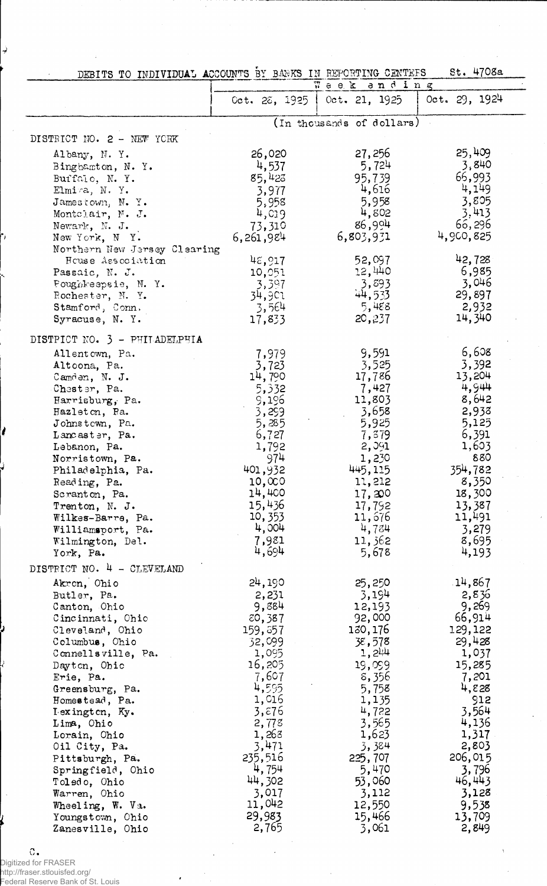| DEBITS TO INDIVIDUAL ACCOUNTS BY BAWKS IN REPORTING CENTEES |  |  |  | St. 4708a |  |
|-------------------------------------------------------------|--|--|--|-----------|--|
|                                                             |  |  |  |           |  |

|                                      |                    | week and ing                  |                   |
|--------------------------------------|--------------------|-------------------------------|-------------------|
|                                      |                    | Oct. 28, 1925   Oct. 21, 1925 | 0ct. 29, 1924     |
|                                      |                    | (In thousands of dollars)     |                   |
| DISTRICT NO. 2 - NEW YORK            |                    |                               |                   |
| Albany, N.Y.                         | 26,020             | 27,256                        | 25,409            |
| Binghamton, N.Y.                     | 4,537              | 5,724                         | 3,840             |
| Buffalo, N.Y.                        | 85,423             | 95,739                        | 66,993            |
| Elmira, N.Y.                         | 3,977              | 4,616                         | 4,149             |
| Jamestown, N.Y.                      | 5,958              | 5,958<br>4,802                | 3,805<br>3,413    |
| Montelair, N. J.<br>Newark, N. J.    | 4,019<br>73,310    | 86,994                        | 66,296            |
| New York, N Y.                       | 6,261,984          | 6,803,931                     | 4,900,825         |
| Northern New Jersey Clearing         |                    |                               |                   |
| House Association                    | $4\epsilon, 917$   | 52,097                        | 42,728            |
| Passaic, N. J.                       | 10,051             | 12,440                        | 6,985             |
| Poughkeepsie, N. Y.                  | 3,397              | 3,893                         | 3,046             |
| Rochester, N.Y.                      | 34,901             | 44,533                        | 29,897            |
| Stamford, Conn.<br>Syracuse, N.Y.    | 3,564<br>17,833    | 5,488<br>20,237               | 2,932<br>14,340   |
|                                      |                    |                               |                   |
| DISTPICT NO. 3 - PHILADELPHIA        |                    |                               |                   |
| Allentown, Pa.                       | 7,979              | 9,591                         | 6,608             |
| Altoona, Pa.                         | 3,723              | 3,525                         | 3,392             |
| Camden, N. J.                        | 14,790             | 17,786<br>7,427               | 13,204<br>4,944   |
| Chester, Pa.<br>Harrisburg, Pa.      | 5,332<br>9,196     | 11,803                        | 8,642             |
| Hazleton, Ra.                        | 3,299              | 3,658                         | 2,938             |
| Johnstewn, Pa.                       | 5,285              | 5,925                         | 5,125             |
| Lancaster, Pa.                       | 6,727              | 7,379                         | 6,391             |
| Lebanon, Pa.                         | 1,792              | 2,091                         | 1,603             |
| Norristown, Pa.                      | 974                | 1,230                         | 880               |
| Philadelphia, Pa.                    | 401,932            | 445,115                       | 354,782           |
| Reading, Pa.                         | 10,000<br>14,400   | 11,212<br>17,200              | 8,350<br>18,300   |
| Scranton, Pa.<br>Trenton, N. J.      | 15,436             | 17,792                        | 13,387            |
| Wilkes-Barre, Pa.                    | 10,353             | 11,676                        | 11,491            |
| Williamsport, Pa.                    | 4,004              | 4,784                         | 3,279             |
| Wilmington, Del.                     | 7,981              | 11,362                        | 8,695             |
| York, Pa.                            | 4,694              | 5,678                         | 4,193             |
| DISTRICT NO. 4 - CLEVELAND           |                    |                               |                   |
| Akron, Ohio                          | 24,190             | 25,250                        | 14,867            |
| Butler, Pa.                          | 2,231              | 3,194                         | 2,836             |
| Canton, Ohio                         | 9,884              | 12,193                        | 9,269             |
| Cincinnati, Chio                     | 80,387<br>159, 357 | 92,000<br>130, 176            | 66,914<br>129,122 |
| Cleveland, Ohio<br>Columbus, Ohio    | 32,099             | 38,578                        | 29,428            |
| Connellsville, Pa.                   | 1,095              | 1,244                         | 1,037             |
| Dayton, Ohic                         | 16,205             | 19,099                        | 15,285            |
| Erie, Pa.                            | 7,607              | 8,356                         | 7,201             |
| Greensburg, Pa.                      | 4,595              | 5,758                         | 4,828             |
| Homestead, Pa.                       | 1,016              | 1,135                         | 912               |
| I exington, Ky.                      | 3,576<br>2,778     | 4,722<br>3,565                | 3,564<br>4,136    |
| Lima, Ohio<br>Lorain, Ohio           | 1,263              | 1,623                         | 1,317             |
| Oil City, Pa.                        | 3,471              | 3,384                         | 2,803             |
| Pittsburgh, Pa.                      | 235,516            | 225,707                       | 206,015           |
| Springfield, Ohio                    | 4,754              | 5,470                         | 3,796             |
| Toledo, Ohio                         | 44,302             | 53,060                        | 46,443            |
| Warren, Ohio                         | 3,017              | 3,112                         | 3,128             |
| Wheeling, W. Va.                     | 11,042<br>29,983   | 12,550                        | 9,538             |
| Youngstown, Ohio<br>Zanesville. Ohio | 2.765              | 15,466<br>3.061               | 13,709<br>2.849   |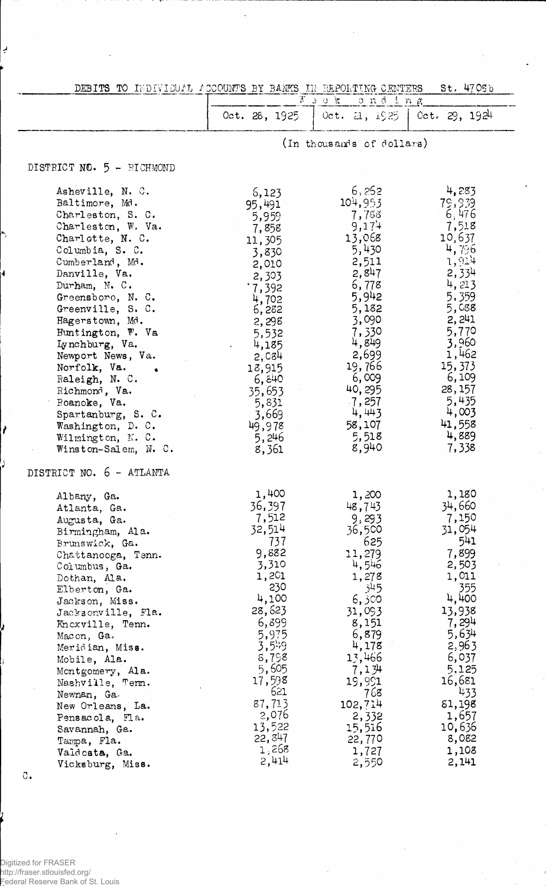| DEBITS TO INDIVIDUAL ACCOUNTS BY BANKS IN REPORTING CENTERS |                 |                                                  | St. 4705 <sub>b</sub> |
|-------------------------------------------------------------|-----------------|--------------------------------------------------|-----------------------|
|                                                             | Oct. 28, 1925   | $\frac{1}{N}$ 3 0 $K$<br>onding<br>Oct. 21, 1925 | $0$ ct. 29, 1924      |
|                                                             |                 |                                                  |                       |
|                                                             |                 | (In thousands of dollars)                        |                       |
| DISTRICT NO. 5 - RICHMOND                                   |                 |                                                  |                       |
| Asheville, N. C.                                            | 6,123           | 6,252                                            | 4,283                 |
| Baltimore, Md.                                              | 95,491          | 104,953                                          | 79,939                |
| Charleston, S. C.                                           | 5,959           | 7,758                                            | 6,476                 |
| Charleston, W. Va.                                          | 7,858           | 9,174                                            | 7,518                 |
| Charlotte, N. C.                                            | 11,305          | 13,068                                           | 10,637                |
| Columbia, S. C.                                             | 3,830           | 5,430                                            | 4,796                 |
| Cumberland, Md.<br>Danville, Va.                            | 2,010           | 2,511<br>2,847                                   | 1,914<br>2,334        |
| Durham, N. C.                                               | 2,303           | 6,778                                            | 4,213                 |
| Greensboro, N.C.                                            | .7,392          | 5,942                                            | 5,359                 |
| Greenville, S. C.                                           | 4,702<br>6,282  | 5,182                                            | 5,088                 |
| Hagerstown, Md.                                             | 2,298           | 3,090                                            | 2, 241                |
| Huntington, W. Va                                           | 5,532           | 7,330                                            | 5,770                 |
| Lynchburg, Va.                                              | 4,185           | 4,849                                            | 3,960                 |
| Newport News, Va.                                           | 2,084           | 2,699                                            | 1,462                 |
| Norfolk, Va.                                                | 13,915          | 19,766                                           | 15,373                |
| Raleigh, N. C.                                              | 6,840           | 6,009                                            | 6,109                 |
| Richmond, Va.                                               | 35,653          | 40,295                                           | 28, 157               |
| Roanoke, Va.                                                | 5,831           | $-7,257$                                         | 5,435                 |
| Spartanburg, S. C.                                          | 3,669           | 4,443                                            | 4,003                 |
| Washington, D. C.                                           | 49,978          | 58,107                                           | 41,558                |
| Wilmington, N. C.                                           | 5,246           | 5,518                                            | 4,889                 |
| Winston-Salem, N. C.                                        | 8,361           | 8,940                                            | 7,338                 |
| DISTRICT NO. 6 - ATLANTA                                    |                 |                                                  |                       |
| Albany, Ga.                                                 | 1,400           | 1,200                                            | 1,180                 |
| Atlanta, Ga.                                                | 36,397          | 48,743                                           | 34,660                |
| Augusta, Ga.                                                | 7,512<br>32,514 | 9,293                                            | 7,150<br>31,054       |
| Birmingham, Ala.                                            | 737             | 36,500<br>625                                    | 541                   |
| Brunswick, Ga.<br>Chattanooga, Tenn.                        | 9,882           | 11,279                                           | 7,899                 |
| Columbus, Ga.                                               | 3,310           | 4,546                                            | 2,503                 |
| Dothan, Ala.                                                | 1,201           | 1,278                                            | 1,011                 |
| Elberton, Ga.                                               | 230             | 345                                              | 355                   |
| Jackson, Miss.                                              | 4,100           | 6,300                                            | 4,400                 |
| Jacksonville, Fla.                                          | 28,623          | 31,093                                           | 13,938                |
| Knoxville, Tenn.                                            | 6,399           | 8,151                                            | 7, 294                |
| Macon, Ga.                                                  | 5,975           | 6,879                                            | 5,634                 |
| Meridian, Miss.                                             | $3,5^{1.9}$     | 4,178                                            | 2,963                 |
| Mobile, Ala.                                                | 8,798           | 13,466                                           | 6,037                 |
| Montgomery, Ala.                                            | 5,605<br>17,598 | 7,134                                            | 5,125<br>16,681       |
| Nashville, Term.                                            | 621             | 19,991<br>768                                    | 433                   |
| Newnan, Ga.                                                 | 87,713          | 102,714                                          | 81,198                |
| New Orleans, La.                                            | 2,076           | 2,332                                            | 1,657                 |
| Pensacola, Fla.<br>Savannah, Ga.                            | 13,522          | 15,516                                           | 10,636                |
| Tampa, Fla.                                                 | 22, 847         | 22,770                                           | 8,082                 |
| Valdcsta, Ga.                                               | 1,268           | 1,727                                            | 1,108                 |
| Vicksburg, Miss.                                            | 2,414           | 2,550                                            | 2,141                 |

 $\mathbb{C}\, .$ 

ر

Á.

 $\lambda$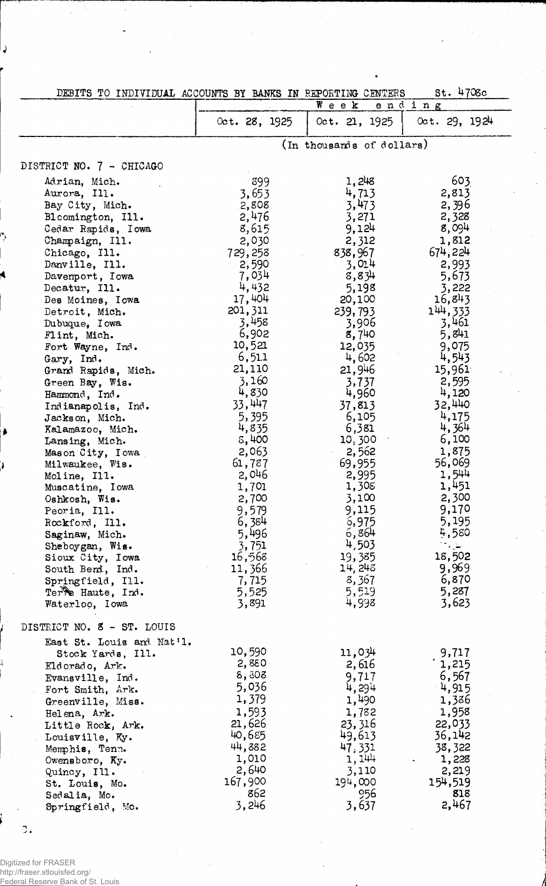| St. 4708c<br>DEBITS TO INDIVIDUAL ACCOUNTS BY BANKS IN REPORTING CENTERS                                                                                                                                                                                                                                                                                                                                                                                                                                                                                                                                                                                                                                      |                                                                                                                                                                                                                                                                                                                                                     |                                                                                                                                                                                                                                                                                                                                                        |                                                                                                                                                                                                                                                                                                                                                    |  |  |
|---------------------------------------------------------------------------------------------------------------------------------------------------------------------------------------------------------------------------------------------------------------------------------------------------------------------------------------------------------------------------------------------------------------------------------------------------------------------------------------------------------------------------------------------------------------------------------------------------------------------------------------------------------------------------------------------------------------|-----------------------------------------------------------------------------------------------------------------------------------------------------------------------------------------------------------------------------------------------------------------------------------------------------------------------------------------------------|--------------------------------------------------------------------------------------------------------------------------------------------------------------------------------------------------------------------------------------------------------------------------------------------------------------------------------------------------------|----------------------------------------------------------------------------------------------------------------------------------------------------------------------------------------------------------------------------------------------------------------------------------------------------------------------------------------------------|--|--|
|                                                                                                                                                                                                                                                                                                                                                                                                                                                                                                                                                                                                                                                                                                               |                                                                                                                                                                                                                                                                                                                                                     | $W$ e e $k$                                                                                                                                                                                                                                                                                                                                            | ending                                                                                                                                                                                                                                                                                                                                             |  |  |
|                                                                                                                                                                                                                                                                                                                                                                                                                                                                                                                                                                                                                                                                                                               | Oct. 28, 1925                                                                                                                                                                                                                                                                                                                                       | 0ct. 21, 1925                                                                                                                                                                                                                                                                                                                                          | 0ct.29,1924                                                                                                                                                                                                                                                                                                                                        |  |  |
|                                                                                                                                                                                                                                                                                                                                                                                                                                                                                                                                                                                                                                                                                                               | (In thousands of dollars)                                                                                                                                                                                                                                                                                                                           |                                                                                                                                                                                                                                                                                                                                                        |                                                                                                                                                                                                                                                                                                                                                    |  |  |
| DISTRICT NO. 7 - CHICAGO                                                                                                                                                                                                                                                                                                                                                                                                                                                                                                                                                                                                                                                                                      |                                                                                                                                                                                                                                                                                                                                                     |                                                                                                                                                                                                                                                                                                                                                        |                                                                                                                                                                                                                                                                                                                                                    |  |  |
| Adrian, Mich.<br>Aurora, Ill.<br>Bay City, Mich.<br>Bloomington, Ill.<br>Cedar Rapids, Iowa<br>Champaign, Ill.<br>Chicago, Ill.<br>Danville, Ill.<br>Davenport, Iowa<br>Decatur, Ill.<br>Des Moines, Iowa<br>Detroit, Mich.<br>Dubuque, Iowa<br>Flint, Mich.<br>Fort Wayne, Ind.<br>Gary, Ind.<br>Grand Rapids, Mich.<br>Green Bay, Wis.<br>Hammond, Ind.<br>Indianapolis, Ind.<br>Jackson, Mich.<br>Kalamazoo, Mich.<br>Lansing, Mich.<br>Mason City, Iowa<br>Milwaukee, Wis.<br>Moline, Ill.<br>Muscatine, Iowa<br>Oshkosh, Wis.<br>Peoria, Ill.<br>Rockford, Ill.<br>Saginaw, Mich.<br>Sheboygan, Wis.<br>Sioux City, Iowa<br>South Bend, Ind.<br>Springfield, Ill.<br>Terre Haute, Ind.<br>Waterloo, Iowa | 399<br>3.653<br>2,808<br>2,476<br>8,615<br>2,030<br>729,258<br>2,590<br>7,034<br>4,432<br>17,404<br>201, 311<br>3,458<br>6,902<br>10,521<br>6,511<br>21,110<br>3,160<br>4,830<br>33,447<br>5,395<br>4,835<br>5,400<br>2,063<br>61,787<br>2,046<br>1,701<br>2,700<br>9,579<br>6,384<br>5,496<br>3,751<br>16,568<br>11,366<br>7,715<br>5,525<br>3,891 | 1,248<br>4,713<br>3,473<br>3,271<br>9,124<br>2,312<br>838,967<br>3,014<br>8,834<br>5,198<br>20,100<br>239,793<br>3,906<br>8,740<br>12,035<br>4,602<br>21,946<br>3,737<br>4,960<br>37,813<br>6,105<br>6,381<br>10,300<br>2,562<br>69,955<br>2,995<br>1,308<br>3,100<br>9,115<br>6,975<br>6,864<br>4,503<br>19,385<br>14, 248<br>8,367<br>5,519<br>4,998 | 603<br>2,813<br>2,396<br>2,328<br>8,094<br>1,812<br>674,224<br>2,993<br>5,673<br>3,222<br>16,843<br>144,333<br>3,461<br>5,841<br>9,075<br>4,543<br>15,961<br>2,595<br>4,120<br>32,440<br>4,175<br>4,364<br>6,100<br>1,875<br>56,069<br>1,544<br>1,451<br>2,300<br>9,170<br>5,195<br>5,580<br>المقراف<br>18,502<br>9,969<br>6,870<br>5,287<br>3,623 |  |  |
| DISTRICT NO. 8 - ST. LOUIS                                                                                                                                                                                                                                                                                                                                                                                                                                                                                                                                                                                                                                                                                    |                                                                                                                                                                                                                                                                                                                                                     |                                                                                                                                                                                                                                                                                                                                                        |                                                                                                                                                                                                                                                                                                                                                    |  |  |
| East St. Louis and Nat'l.<br>Stock Yards, Ill.<br>Eldorado, Ark.<br>Evansville, Ind.<br>Fort Smith, Ark.<br>Greenville, Miss.<br>Helena, Ark.<br>Little Rock, Ark.<br>Louisville, Ky.<br>Memphis, Tenn.<br>Owensboro, Ky.<br>Quincy, Ill.<br>St. Louis, Mo.<br>Sedalia, Mo.<br>Springfield, Mo.                                                                                                                                                                                                                                                                                                                                                                                                               | 10,590<br>2,880<br>8,508<br>5,036<br>1,379<br>1,593<br>21,626<br>40,685<br>44,882<br>1,010<br>2,640<br>167,900<br>862<br>3,246                                                                                                                                                                                                                      | 11,034<br>2,616<br>9,717<br>4,294<br>1,490<br>1,782<br>23, 316<br>49,613<br>47,331<br>1,144<br>3,110<br>194,000<br>956<br>3,637                                                                                                                                                                                                                        | 9,717<br>1,215<br>6,567<br>4,915<br>1,386<br>1,958<br>22,033<br>36,142<br>38,322<br>1,228<br>2,219<br>154,519<br>818<br>2,467                                                                                                                                                                                                                      |  |  |

 $\sigma$ .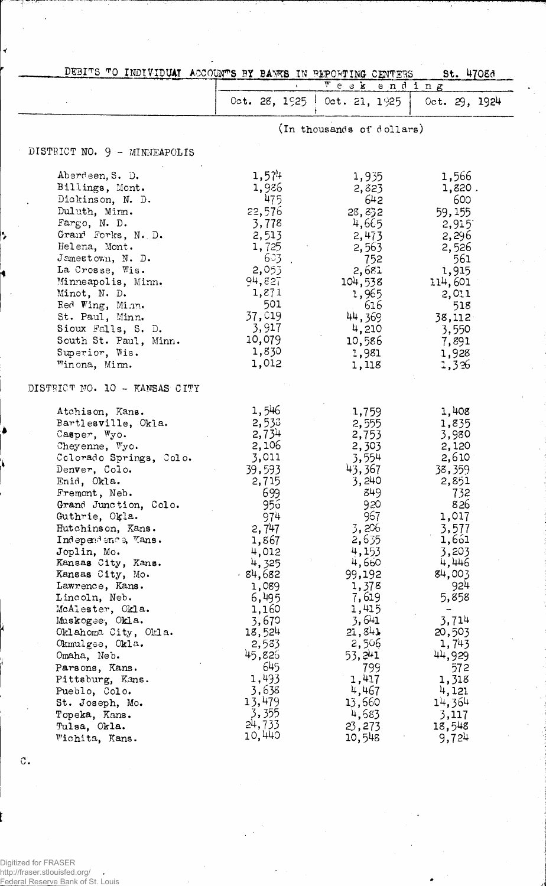| DEBITS TO INDIVIDUAT ACCOUNTS BY BANKS IN REPORTING CENTERS |                |                                                        | St. 4708d                         |
|-------------------------------------------------------------|----------------|--------------------------------------------------------|-----------------------------------|
|                                                             |                | $\overline{r}$ e a $k$ e n d i n g                     |                                   |
|                                                             |                | Oct. 28, $1\frac{625}{10}$ Oct. 21, $1\frac{925}{100}$ | Oct. $29, 1924$                   |
|                                                             |                | (In thousands of dollars)                              |                                   |
| DISTRICT NO. 9 - MINNEAPOLIS                                |                |                                                        |                                   |
| Aberdeen, S. D.                                             | 1,574          | 1,935                                                  | 1,566                             |
| Billings, Mont.                                             | 1,926          | 2,823                                                  | 1,820.                            |
| Dickinson, N. D.                                            | 475            | 642                                                    | 600                               |
| Duluth, Minn.                                               | 22,576         | 28,832                                                 | 59,155                            |
| Fargo, N. D.                                                | 3,778          | 4,665                                                  | 2,915                             |
| Grand Forks, N. D.                                          | 2,513          | 2,473                                                  | 2,296                             |
| Helena, Mont.                                               | 1,725          | 2,563                                                  | 2,526                             |
| Jamestown, N. D.                                            | 603.           | 752                                                    | 561                               |
| La Crosse, Wis.                                             | 2,053          | 2,681                                                  | 1,915                             |
| Minneapolis, Minn.                                          | 94,827         | 104,538                                                | 114,601                           |
| Minot, N. D.                                                | 1,871          | 1,965                                                  | 2,011                             |
| Red Wing, Minn.                                             | 501            | 616                                                    | 518                               |
| St. Paul, Minn.                                             | 37,019         | 44,369                                                 | 38,112                            |
| Sioux Falls, S. D.                                          | 3,917          | 4,210                                                  | 3,550                             |
| South St. Paul, Minn.                                       | 10,079         | 10,586                                                 | 7,891                             |
| Superior, Wis.                                              | 1,830          | 1,981                                                  | 1,928                             |
| Winona, Minn.                                               | 1,012          | 1,118                                                  | 1,326                             |
| DISTRICT NO. 10 - KANSAS CITY                               |                |                                                        |                                   |
|                                                             | 1,546          |                                                        |                                   |
| Atchison, Kans.<br>Bartlesville, Okla.                      | 2,533          | 1,759<br>2,555                                         | 1,408<br>1,835                    |
| Casper, Wyo.                                                | 2,734          | 2,753                                                  | 3,980                             |
| Cheyenne, Wyo.                                              | 2,106          | 2,303                                                  | 2,120                             |
| Colorado Springs, Colo.                                     | 3,011          | 3,554                                                  | 2,610                             |
| Denver, Colo.                                               | 39,593         | 43,367                                                 | 38,359                            |
| Enid, Okla.                                                 | 2,715          | 3,240                                                  | 2,851                             |
| Fremont, Neb.                                               | 699            | 849                                                    | 732                               |
| Grand Junction, Colo.                                       | 956            | 920                                                    | 826                               |
| Guthrie, Okla.                                              | 974            | 967                                                    | 1,017                             |
| Hutchinson, Kans.                                           | 2,747          | 3,206                                                  | 3,577                             |
| Independence, Kans.                                         | 1,867          | 2,635                                                  | 1,661                             |
| Joplin, Mo.                                                 | 4,012          | 4,153                                                  | 3,203                             |
| Kansas City, Kans.                                          | 4,325          | 4,660                                                  | 4,446                             |
| Kansas City, Mo.                                            | $-84,682$      | 99,192                                                 | 84,003                            |
| Lawrence, Kans.                                             | 1,089          | 1,378                                                  | 924                               |
| Lincoln, Neb.<br>McAlester, Okla.                           | 6,495          | 7,619<br>1,415                                         | 5,858                             |
| Muskogee, Okla.                                             | 1,160<br>3,670 | 3,641                                                  | $\overline{\phantom{a}}$<br>3,714 |
| Oklahoma City, Okla.                                        | 18,524         | 21,841                                                 | 20,503                            |
| Okmulgee, Okla.                                             | 2,583          | 2,506                                                  | 1,743                             |
| Omaha, Neb.                                                 | 45,826         | 53, 241                                                | 44,929                            |
| Parsons, Kans.                                              | 645            | 799                                                    | 572                               |
| Pittsburg, Kans.                                            | 1,493          | 1,417                                                  | 1,318                             |
| Pueblo, Colo.                                               | 3,638          | 4,467                                                  | 4,121                             |
| St. Joseph, Mo.                                             | 13,479         | 13,660                                                 | 14,364                            |
| Topeka, Kans.                                               | 3,355          | 4,683                                                  | 3,117                             |
| Tulsa, Okla.                                                | 24,733         | 23,273                                                 | 18,548                            |
| Wichita, Kans.                                              | 10,440         | 10,548                                                 | 9,724                             |
|                                                             |                |                                                        |                                   |

 $\mathfrak{C}$ .